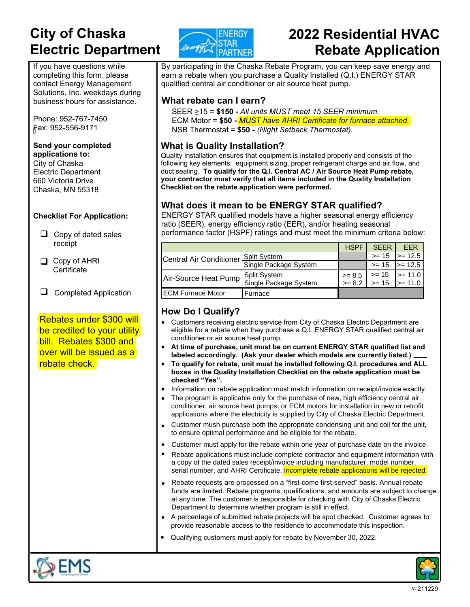# **City of Chaska**  **Electric Department**

If you have questions while completing this form, please contact Energy Management Solutions, Inc. weekdays during business hours for assistance.

Phone: 952-767-7450 Fax: 952-556-9171

#### **Send your completed applications to:**

City of Chaska Electric Department 660 Victoria Drive Chaska, MN 55318

#### **Checklist For Application:**

- $\Box$  Copy of dated sales receipt
- Copy of AHRI **Certificate**
- **Q** Completed Application

Rebates under \$300 will be credited to your utility bill. Rebates \$300 and over will be issued as a rebate check.



# **2022 Residential HVAC Rebate Application**

By participating in the Chaska Rebate Program, you can keep save energy and earn a rebate when you purchase a Quality Installed (Q.I.) ENERGY STAR qualified central air conditioner or air source heat pump.

#### **What rebate can I earn?**

SEER >15 = **\$150 -** *All units MUST meet 15 SEER minimum.* ECM Motor = **\$50 -** *MUST have AHRI Certificate for furnace attached.* NSB Thermostat = **\$50 -** *(Night Setback Thermostat).*

#### **What is Quality Installation?**

Quality Installation ensures that equipment is installed properly and consists of the following key elements: equipment sizing, proper refrigerant charge and air flow, and duct sealing. **To qualify for the Q.I. Central AC / Air Source Heat Pump rebate, your contractor must verify that all items included in the Quality Installation Checklist on the rebate application were performed.** 

#### **What does it mean to be ENERGY STAR qualified?**

ENERGY STAR qualified models have a higher seasonal energy efficiency ratio (SEER), energy efficiency ratio (EER), and/or heating seasonal performance factor (HSPF) ratings and must meet the minimum criteria below:

|                                  |                       | <b>HSPF</b> | <b>SFFR</b> | <b>FFR</b>                          |
|----------------------------------|-----------------------|-------------|-------------|-------------------------------------|
| Central Air Conditioner          | Split System          |             | $>= 15$     | $\ge$ 12.5                          |
|                                  | Single Package System |             | $>= 15$     | $\ge$ 12.5                          |
| Air-Source Heat Pump Spin System |                       | $>= 8.5$    | $>= 15$     | $\ge$ = 11.0                        |
|                                  |                       | $>= 8.2$    |             | $\Rightarrow$ 15 $\Rightarrow$ 11.0 |
| IECM Furnace Motor               | Furnace               |             |             |                                     |

### **How Do I Qualify?**

- Customers receiving electric service from City of Chaska Electric Department are eligible for a rebate when they purchase a Q.I. ENERGY STAR qualified central air conditioner or air source heat pump.
- **At time of purchase, unit must be on current ENERGY STAR qualified list and labeled accordingly. (Ask your dealer which models are currently listed.)**
- **To qualify for rebate, unit must be installed following Q.I. procedures and ALL boxes in the Quality Installation Checklist on the rebate application must be checked "Yes".**
- Information on rebate application must match information on receipt/invoice exactly.
- The program is applicable only for the purchase of new, high efficiency central air conditioner, air source heat pumps, or ECM motors for installation in new or retrofit applications where the electricity is supplied by City of Chaska Electric Department.
- Customer mush purchase both the appropriate condensing unit and coil for the unit, to ensure optimal performance and be eligible for the rebate.
- Customer must apply for the rebate within one year of purchase date on the invoice.
- Rebate applications must include complete contractor and equipment information with a copy of the dated sales receipt/invoice including manufacturer, model number, serial number, and AHRI Certificate. **Incomplete rebate applications will be rejected.**
- Rebate requests are processed on a "first-come first-served" basis. Annual rebate funds are limited. Rebate programs, qualifications, and amounts are subject to change at any time. The customer is responsible for checking with City of Chaska Electric Department to determine whether program is still in effect.
- A percentage of submitted rebate projects will be spot checked. Customer agrees to provide reasonable access to the residence to accommodate this inspection.
- Qualifying customers must apply for rebate by November 30, 2022.